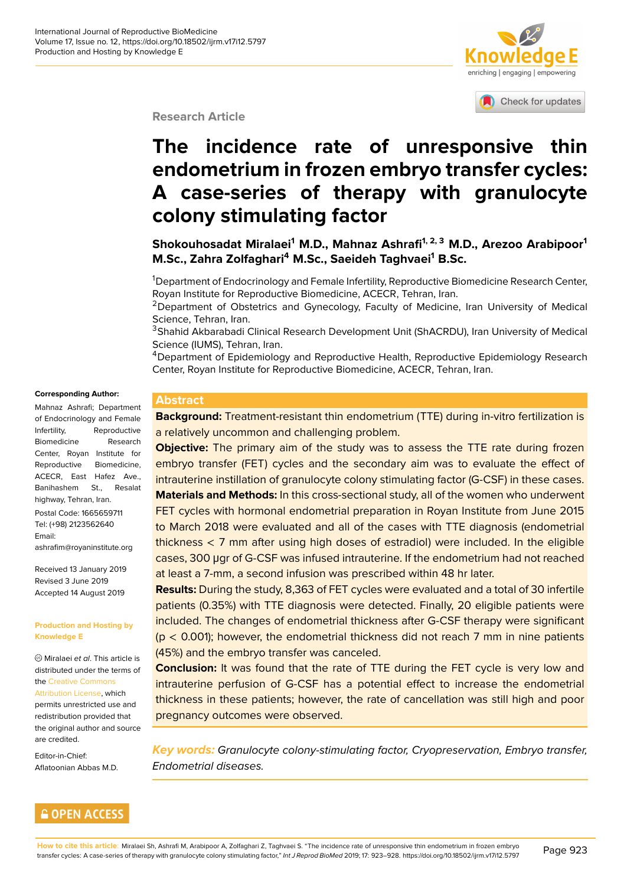enriching | engaging | empowering

Check for updates

**Research Article**

**Abstract**

# **The incidence rate of unresp[onsive thin](http://crossmark.crossref.org/dialog/?doi=10.18502/ijrm.v17i12.5797&domain=pdf&date_stamp=2018-01-27) endometrium in frozen embryo transfer cycles: A case-series of therapy with granulocyte colony stimulating factor**

**Shokouhosadat Miralaei<sup>1</sup> M.D., Mahnaz Ashrafi1, 2, 3 M.D., Arezoo Arabipoor<sup>1</sup> M.Sc., Zahra Zolfaghari<sup>4</sup> M.Sc., Saeideh Taghvaei<sup>1</sup> B.Sc.**

<sup>1</sup>Department of Endocrinology and Female Infertility, Reproductive Biomedicine Research Center, Royan Institute for Reproductive Biomedicine, ACECR, Tehran, Iran.

<sup>2</sup>Department of Obstetrics and Gynecology, Faculty of Medicine, Iran University of Medical Science, Tehran, Iran.

<sup>3</sup>Shahid Akbarabadi Clinical Research Development Unit (ShACRDU), Iran University of Medical Science (IUMS), Tehran, Iran.

<sup>4</sup>Department of Epidemiology and Reproductive Health, Reproductive Epidemiology Research Center, Royan Institute for Reproductive Biomedicine, ACECR, Tehran, Iran.

#### **Corresponding Author:**

Mahnaz Ashrafi; Department of Endocrinology and Female Infertility, Reproductive Biomedicine Research Center, Royan Institute for Reproductive Biomedicine, ACECR, East Hafez Ave., Banihashem St., Resalat highway, Tehran, Iran. Postal Code: 1665659711 Tel: (+98) 2123562640 Email: ashrafim@royaninstitute.org

Received 13 January 2019 Revised 3 June 2019 [Accepted 14 August 2019](mailto:ashrafim@royaninstitute.org)

#### **Production and Hosting by Knowledge E**

Miralaei *et al*. This article is distributed under the terms of the Creative Commons

Attribution License, which permits unrestricted use and redistribution provided that the original author and source [are credited.](https://creativecommons.org/licenses/by/4.0/)

Editor-in-Chief: Aflatoonian Abbas M.D.

#### **GOPEN ACCESS**

**Background:** Treatment-resistant thin endometrium (TTE) during in-vitro fertilization is a relatively uncommon and challenging problem.

**Objective:** The primary aim of the study was to assess the TTE rate during frozen embryo transfer (FET) cycles and the secondary aim was to evaluate the effect of intrauterine instillation of granulocyte colony stimulating factor (G-CSF) in these cases.

**Materials and Methods:** In this cross-sectional study, all of the women who underwent FET cycles with hormonal endometrial preparation in Royan Institute from June 2015 to March 2018 were evaluated and all of the cases with TTE diagnosis (endometrial thickness < 7 mm after using high doses of estradiol) were included. In the eligible cases, 300 μgr of G-CSF was infused intrauterine. If the endometrium had not reached at least a 7-mm, a second infusion was prescribed within 48 hr later.

**Results:** During the study, 8,363 of FET cycles were evaluated and a total of 30 infertile patients (0.35%) with TTE diagnosis were detected. Finally, 20 eligible patients were included. The changes of endometrial thickness after G-CSF therapy were significant  $(p < 0.001)$ ; however, the endometrial thickness did not reach 7 mm in nine patients (45%) and the embryo transfer was canceled.

**Conclusion:** It was found that the rate of TTE during the FET cycle is very low and intrauterine perfusion of G-CSF has a potential effect to increase the endometrial thickness in these patients; however, the rate of cancellation was still high and poor pregnancy outcomes were observed.

*Key words: Granulocyte colony-stimulating factor, Cryopreservation, Embryo transfer, Endometrial diseases.*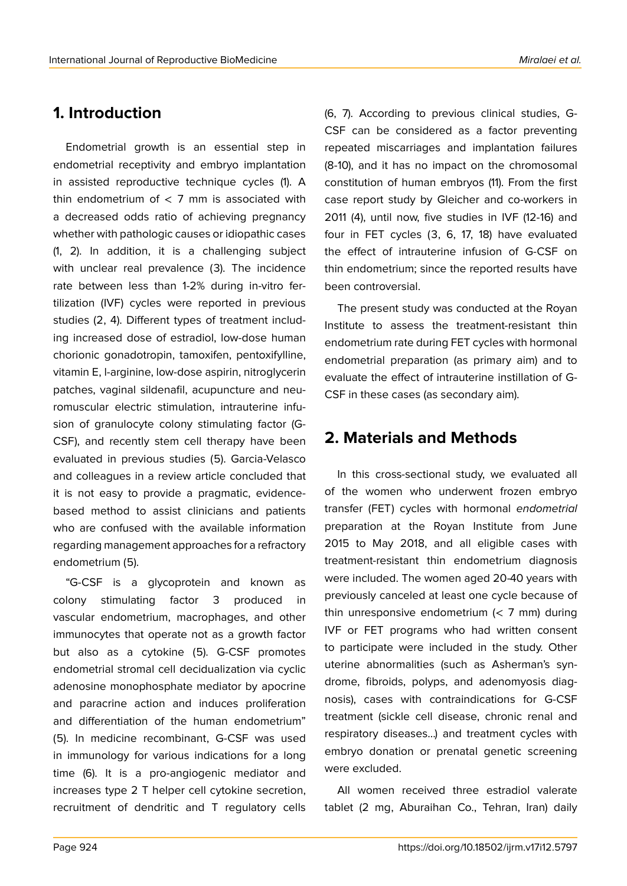### **1. Introduction**

Endometrial growth is an essential step in endometrial receptivity and embryo implantation in assisted reproductive technique cycles (1). A thin endometrium of  $<$  7 mm is associated with a decreased odds ratio of achieving pregnancy whether with pathologic causes or idiopathic cases (1, 2). In addition, it is a challenging subject with unclear real prevalence (3). The incidence rate between less than 1-2% during in-vitro fertilization (IVF) cycles were reported in previous studies (2, 4). Different types of treatment including increased dose of estradiol, low-dose human chorionic gonadotropin, tamoxifen, pentoxifylline, vitamin E, l-arginine, low-dose aspirin, nitroglycerin patches, vaginal sildenafil, acupuncture and neuromuscular electric stimulation, intrauterine infusion of granulocyte colony stimulating factor (G-CSF), and recently stem cell therapy have been evaluated in previous studies (5). Garcia-Velasco and colleagues in a review article concluded that it is not easy to provide a pragmatic, evidencebased method to assist clinicians and patients who are confused with the available information regarding management approaches for a refractory endometrium (5).

"G-CSF is a glycoprotein and known as colony stimulating factor 3 produced in vascular endometrium, macrophages, and other immunocytes that operate not as a growth factor but also as a cytokine (5). G-CSF promotes endometrial stromal cell decidualization via cyclic adenosine monophosphate mediator by apocrine and paracrine action and induces proliferation and differentiation of the human endometrium" (5). In medicine recombinant, G-CSF was used in immunology for various indications for a long time (6). It is a pro-angiogenic mediator and increases type 2 T helper cell cytokine secretion, recruitment of dendritic and T regulatory cells

(6, 7). According to previous clinical studies, G-CSF can be considered as a factor preventing repeated miscarriages and implantation failures (8-10), and it has no impact on the chromosomal constitution of human embryos (11). From the first case report study by Gleicher and co-workers in 2011 (4), until now, five studies in IVF (12-16) and four in FET cycles (3, 6, 17, 18) have evaluated the effect of intrauterine infusion of G-CSF on thin endometrium; since the reported results have been controversial.

The present study was conducted at the Royan Institute to assess the treatment-resistant thin endometrium rate during FET cycles with hormonal endometrial preparation (as primary aim) and to evaluate the effect of intrauterine instillation of G-CSF in these cases (as secondary aim).

### **2. Materials and Methods**

In this cross-sectional study, we evaluated all of the women who underwent frozen embryo transfer (FET) cycles with hormonal *endometrial* preparation at the Royan Institute from June 2015 to May 2018, and all eligible cases with treatment-resistant thin endometrium diagnosis were included. The women aged 20-40 years with previously canceled at least one cycle because of thin unresponsive endometrium  $(< 7$  mm) during IVF or FET programs who had written consent to participate were included in the study. Other uterine abnormalities (such as Asherman's syndrome, fibroids, polyps, and adenomyosis diagnosis), cases with contraindications for G-CSF treatment (sickle cell disease, chronic renal and respiratory diseases…) and treatment cycles with embryo donation or prenatal genetic screening were excluded.

All women received three estradiol valerate tablet (2 mg, Aburaihan Co., Tehran, Iran) daily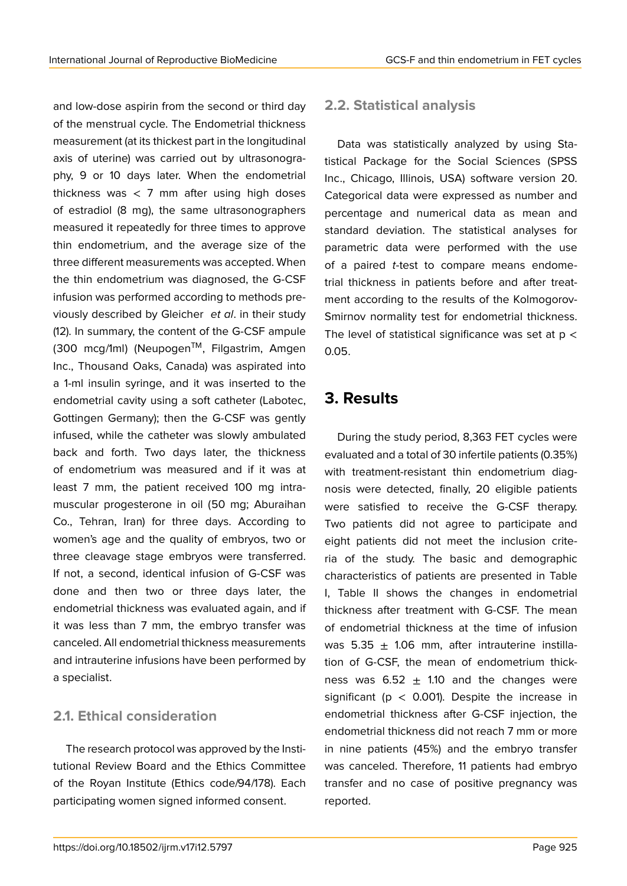and low-dose aspirin from the second or third day of the menstrual cycle. The Endometrial thickness measurement (at its thickest part in the longitudinal axis of uterine) was carried out by ultrasonography, 9 or 10 days later. When the endometrial thickness was  $<$  7 mm after using high doses of estradiol (8 mg), the same ultrasonographers measured it repeatedly for three times to approve thin endometrium, and the average size of the three different measurements was accepted. When the thin endometrium was diagnosed, the G-CSF infusion was performed according to methods previously described by Gleicher *et al*. in their study (12). In summary, the content of the G-CSF ampule (300 mcg/1ml) (NeupogenTM, Filgastrim, Amgen Inc., Thousand Oaks, Canada) was aspirated into a 1-ml insulin syringe, and it was inserted to the endometrial cavity using a soft catheter (Labotec, Gottingen Germany); then the G-CSF was gently infused, while the catheter was slowly ambulated back and forth. Two days later, the thickness of endometrium was measured and if it was at least 7 mm, the patient received 100 mg intramuscular progesterone in oil (50 mg; Aburaihan Co., Tehran, Iran) for three days. According to women's age and the quality of embryos, two or three cleavage stage embryos were transferred. If not, a second, identical infusion of G-CSF was done and then two or three days later, the endometrial thickness was evaluated again, and if it was less than 7 mm, the embryo transfer was canceled. All endometrial thickness measurements and intrauterine infusions have been performed by a specialist.

### **2.1. Ethical consideration**

The research protocol was approved by the Institutional Review Board and the Ethics Committee of the Royan Institute (Ethics code/94/178). Each participating women signed informed consent.

### **2.2. Statistical analysis**

Data was statistically analyzed by using Statistical Package for the Social Sciences (SPSS Inc., Chicago, Illinois, USA) software version 20. Categorical data were expressed as number and percentage and numerical data as mean and standard deviation. The statistical analyses for parametric data were performed with the use of a paired *t*-test to compare means endometrial thickness in patients before and after treatment according to the results of the Kolmogorov-Smirnov normality test for endometrial thickness. The level of statistical significance was set at  $p <$ 0.05.

### **3. Results**

During the study period, 8,363 FET cycles were evaluated and a total of 30 infertile patients (0.35%) with treatment-resistant thin endometrium diagnosis were detected, finally, 20 eligible patients were satisfied to receive the G-CSF therapy. Two patients did not agree to participate and eight patients did not meet the inclusion criteria of the study. The basic and demographic characteristics of patients are presented in Table I, Table II shows the changes in endometrial thickness after treatment with G-CSF. The mean of endometrial thickness at the time of infusion was  $5.35 \pm 1.06$  mm, after intrauterine instillation of G-CSF, the mean of endometrium thickness was  $6.52 \pm 1.10$  and the changes were significant ( $p < 0.001$ ). Despite the increase in endometrial thickness after G-CSF injection, the endometrial thickness did not reach 7 mm or more in nine patients (45%) and the embryo transfer was canceled. Therefore, 11 patients had embryo transfer and no case of positive pregnancy was reported.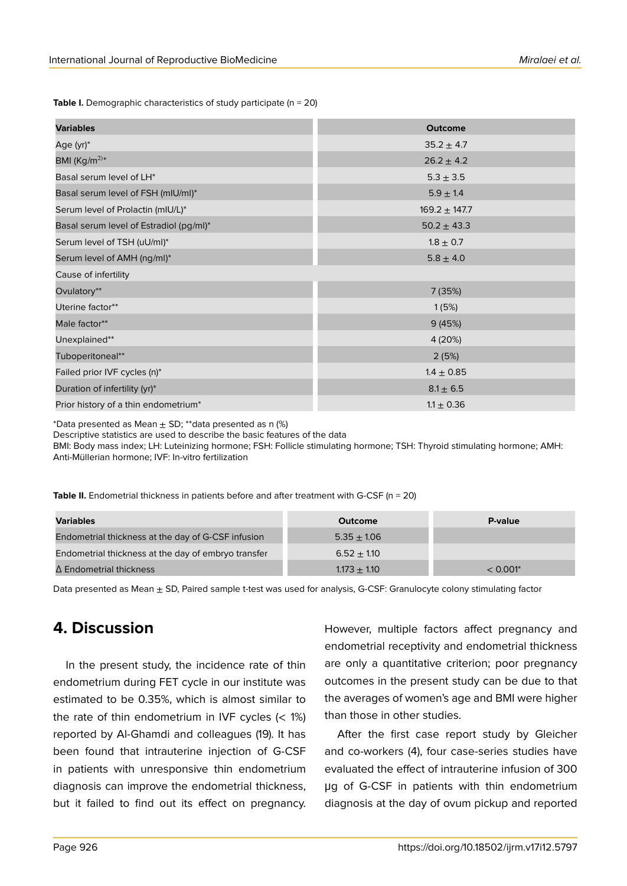| <b>Variables</b>                        | <b>Outcome</b>    |  |
|-----------------------------------------|-------------------|--|
| Age (yr)*                               | $35.2 \pm 4.7$    |  |
| BMI (Kg/m <sup>2)*</sup>                | $26.2 \pm 4.2$    |  |
| Basal serum level of LH*                | $5.3 \pm 3.5$     |  |
| Basal serum level of FSH (mIU/mI)*      | $5.9 \pm 1.4$     |  |
| Serum level of Prolactin (mIU/L)*       | $169.2 \pm 147.7$ |  |
| Basal serum level of Estradiol (pg/ml)* | $50.2 \pm 43.3$   |  |
| Serum level of TSH (uU/ml)*             | $1.8 \pm 0.7$     |  |
| Serum level of AMH (ng/ml)*             | $5.8 \pm 4.0$     |  |
| Cause of infertility                    |                   |  |
| Ovulatory**                             | 7(35%)            |  |
| Uterine factor**                        | 1(5%)             |  |
| Male factor**                           | 9(45%)            |  |
| Unexplained**                           | 4 (20%)           |  |
| Tuboperitoneal**                        | 2(5%)             |  |
| Failed prior IVF cycles (n)*            | $1.4 \pm 0.85$    |  |
| Duration of infertility (yr)*           | $8.1 \pm 6.5$     |  |
| Prior history of a thin endometrium*    | $1.1 \pm 0.36$    |  |

**Table I.** Demographic characteristics of study participate (n = 20)

\*Data presented as Mean  $\pm$  SD; \*\*data presented as n (%)

Descriptive statistics are used to describe the basic features of the data

BMI: Body mass index; LH: Luteinizing hormone; FSH: Follicle stimulating hormone; TSH: Thyroid stimulating hormone; AMH: Anti-Müllerian hormone; IVF: In-vitro fertilization

**Table II.** Endometrial thickness in patients before and after treatment with G-CSF (n = 20)

| <b>Variables</b>                                    | <b>Outcome</b> | P-value     |
|-----------------------------------------------------|----------------|-------------|
| Endometrial thickness at the day of G-CSF infusion  | $5.35 + 1.06$  |             |
| Endometrial thickness at the day of embryo transfer | $6.52 + 1.10$  |             |
| $\Delta$ Endometrial thickness                      | $1.173 + 1.10$ | $< 0.001$ * |

Data presented as Mean  $\pm$  SD, Paired sample t-test was used for analysis, G-CSF: Granulocyte colony stimulating factor

## **4. Discussion**

In the present study, the incidence rate of thin endometrium during FET cycle in our institute was estimated to be 0.35%, which is almost similar to the rate of thin endometrium in IVF cycles  $(< 1\%)$ reported by Al-Ghamdi and colleagues (19). It has been found that intrauterine injection of G-CSF in patients with unresponsive thin endometrium diagnosis can improve the endometrial thickness, but it failed to find out its effect on pregnancy.

However, multiple factors affect pregnancy and endometrial receptivity and endometrial thickness are only a quantitative criterion; poor pregnancy outcomes in the present study can be due to that the averages of women's age and BMI were higher than those in other studies.

After the first case report study by Gleicher and co-workers (4), four case-series studies have evaluated the effect of intrauterine infusion of 300 μg of G-CSF in patients with thin endometrium diagnosis at the day of ovum pickup and reported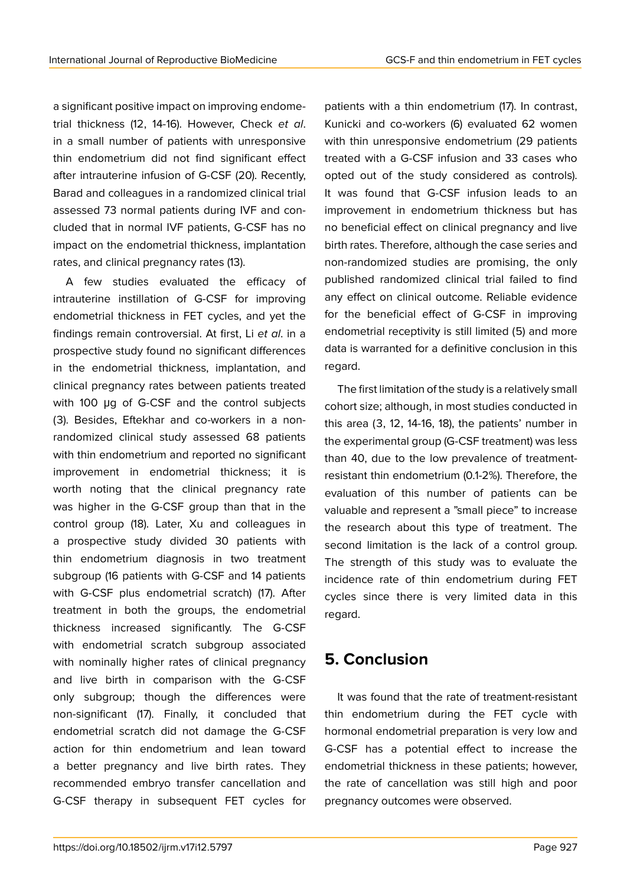a significant positive impact on improving endometrial thickness (12, 14-16). However, Check *et al*. in a small number of patients with unresponsive thin endometrium did not find significant effect after intrauterine infusion of G-CSF (20). Recently, Barad and colleagues in a randomized clinical trial assessed 73 normal patients during IVF and concluded that in normal IVF patients, G-CSF has no impact on the endometrial thickness, implantation rates, and clinical pregnancy rates (13).

A few studies evaluated the efficacy of intrauterine instillation of G-CSF for improving endometrial thickness in FET cycles, and yet the findings remain controversial. At first, Li *et al*. in a prospective study found no significant differences in the endometrial thickness, implantation, and clinical pregnancy rates between patients treated with 100 μg of G-CSF and the control subjects (3). Besides, Eftekhar and co-workers in a nonrandomized clinical study assessed 68 patients with thin endometrium and reported no significant improvement in endometrial thickness; it is worth noting that the clinical pregnancy rate was higher in the G-CSF group than that in the control group (18). Later, Xu and colleagues in a prospective study divided 30 patients with thin endometrium diagnosis in two treatment subgroup (16 patients with G-CSF and 14 patients with G-CSF plus endometrial scratch) (17). After treatment in both the groups, the endometrial thickness increased significantly. The G-CSF with endometrial scratch subgroup associated with nominally higher rates of clinical pregnancy and live birth in comparison with the G-CSF only subgroup; though the differences were non-significant (17). Finally, it concluded that endometrial scratch did not damage the G-CSF action for thin endometrium and lean toward a better pregnancy and live birth rates. They recommended embryo transfer cancellation and G-CSF therapy in subsequent FET cycles for

patients with a thin endometrium (17). In contrast, Kunicki and co-workers (6) evaluated 62 women with thin unresponsive endometrium (29 patients treated with a G-CSF infusion and 33 cases who opted out of the study considered as controls). It was found that G-CSF infusion leads to an improvement in endometrium thickness but has no beneficial effect on clinical pregnancy and live birth rates. Therefore, although the case series and non-randomized studies are promising, the only published randomized clinical trial failed to find any effect on clinical outcome. Reliable evidence for the beneficial effect of G-CSF in improving endometrial receptivity is still limited (5) and more data is warranted for a definitive conclusion in this regard.

The first limitation of the study is a relatively small cohort size; although, in most studies conducted in this area (3, 12, 14-16, 18), the patients' number in the experimental group (G-CSF treatment) was less than 40, due to the low prevalence of treatmentresistant thin endometrium (0.1-2%). Therefore, the evaluation of this number of patients can be valuable and represent a "small piece" to increase the research about this type of treatment. The second limitation is the lack of a control group. The strength of this study was to evaluate the incidence rate of thin endometrium during FET cycles since there is very limited data in this regard.

### **5. Conclusion**

It was found that the rate of treatment-resistant thin endometrium during the FET cycle with hormonal endometrial preparation is very low and G-CSF has a potential effect to increase the endometrial thickness in these patients; however, the rate of cancellation was still high and poor pregnancy outcomes were observed.